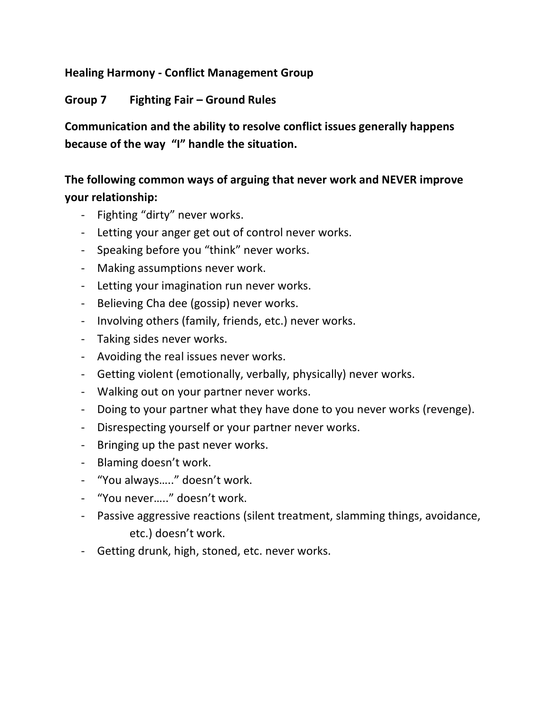## **Healing Harmony - Conflict Management Group**

## **Group 7 Fighting Fair – Ground Rules**

**Communication and the ability to resolve conflict issues generally happens because of the way "I" handle the situation.** 

# **The following common ways of arguing that never work and NEVER improve your relationship:**

- Fighting "dirty" never works.
- Letting your anger get out of control never works.
- Speaking before you "think" never works.
- Making assumptions never work.
- Letting your imagination run never works.
- Believing Cha dee (gossip) never works.
- Involving others (family, friends, etc.) never works.
- Taking sides never works.
- Avoiding the real issues never works.
- Getting violent (emotionally, verbally, physically) never works.
- Walking out on your partner never works.
- Doing to your partner what they have done to you never works (revenge).
- Disrespecting yourself or your partner never works.
- Bringing up the past never works.
- Blaming doesn't work.
- "You always….." doesn't work.
- "You never….." doesn't work.
- Passive aggressive reactions (silent treatment, slamming things, avoidance, etc.) doesn't work.
- Getting drunk, high, stoned, etc. never works.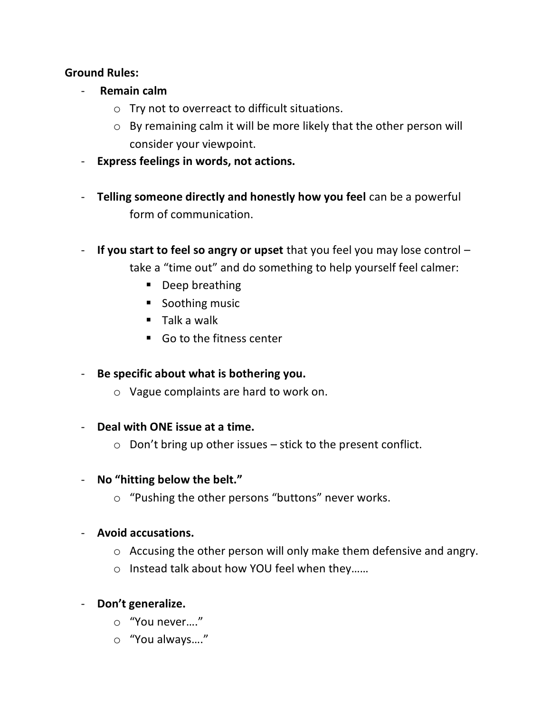## **Ground Rules:**

- **Remain calm**
	- o Try not to overreact to difficult situations.
	- o By remaining calm it will be more likely that the other person will consider your viewpoint.
- **Express feelings in words, not actions.**
- **Telling someone directly and honestly how you feel** can be a powerful form of communication.
- **If you start to feel so angry or upset** that you feel you may lose control take a "time out" and do something to help yourself feel calmer:
	- Deep breathing
	- Soothing music
	- $\blacksquare$  Talk a walk
	- Go to the fitness center
- **Be specific about what is bothering you.**
	- o Vague complaints are hard to work on.
- **Deal with ONE issue at a time.**
	- $\circ$  Don't bring up other issues stick to the present conflict.
- **No "hitting below the belt."**
	- o "Pushing the other persons "buttons" never works.
- **Avoid accusations.**
	- o Accusing the other person will only make them defensive and angry.
	- o Instead talk about how YOU feel when they……
- **Don't generalize.**
	- o "You never…."
	- o "You always…."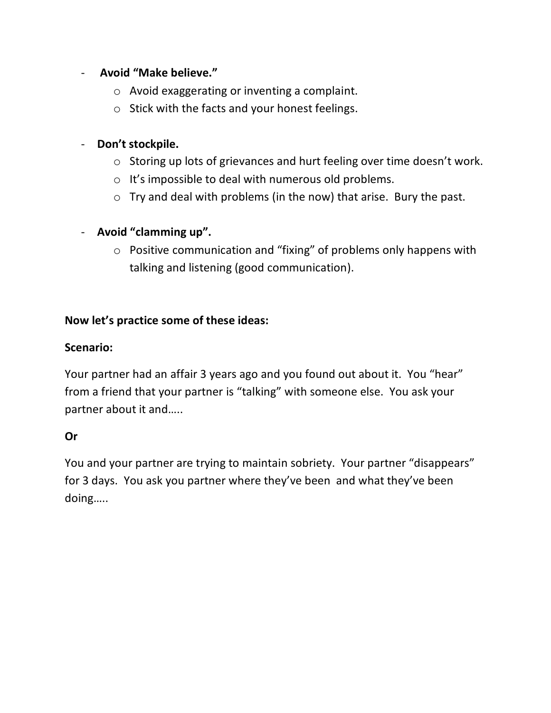## - **Avoid "Make believe."**

- o Avoid exaggerating or inventing a complaint.
- o Stick with the facts and your honest feelings.

## - **Don't stockpile.**

- o Storing up lots of grievances and hurt feeling over time doesn't work.
- o It's impossible to deal with numerous old problems.
- o Try and deal with problems (in the now) that arise. Bury the past.

## - **Avoid "clamming up".**

o Positive communication and "fixing" of problems only happens with talking and listening (good communication).

## **Now let's practice some of these ideas:**

#### **Scenario:**

Your partner had an affair 3 years ago and you found out about it. You "hear" from a friend that your partner is "talking" with someone else. You ask your partner about it and…..

## **Or**

You and your partner are trying to maintain sobriety. Your partner "disappears" for 3 days. You ask you partner where they've been and what they've been doing…..